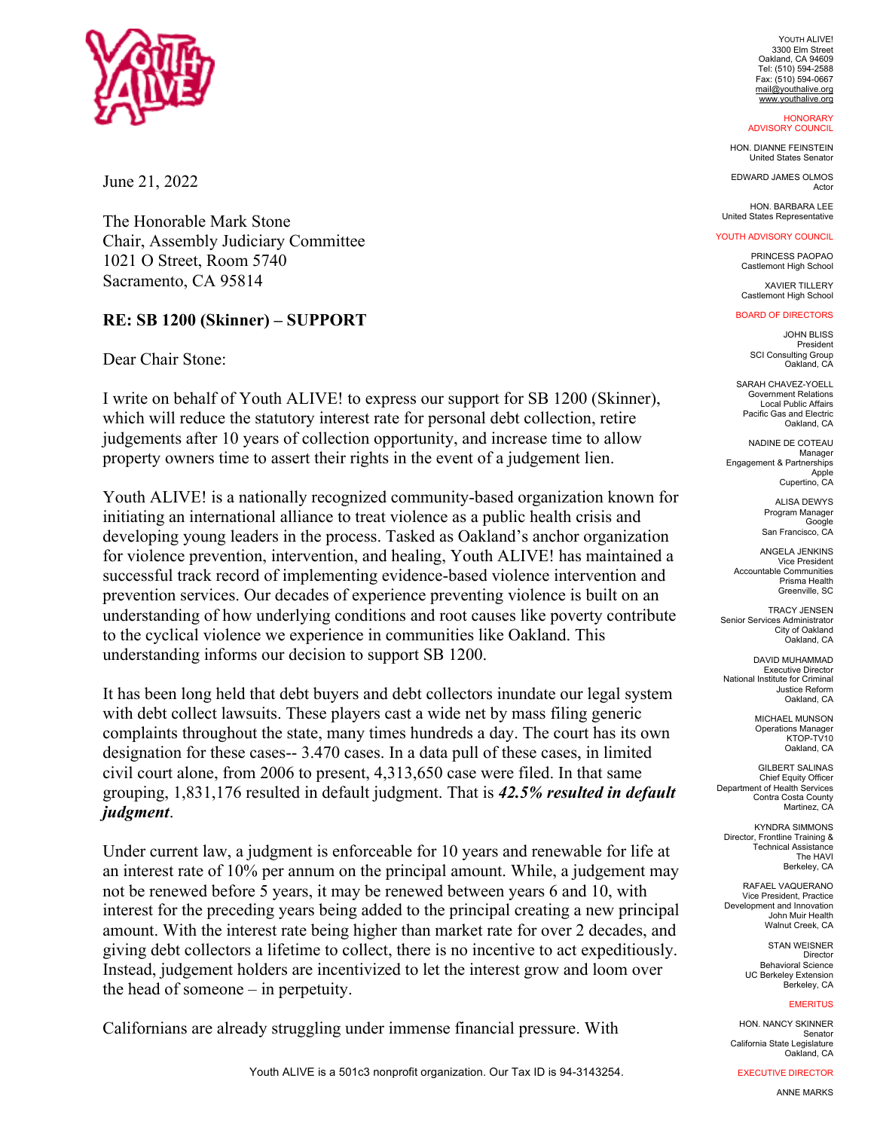

June 21, 2022

The Honorable Mark Stone Chair, Assembly Judiciary Committee 1021 O Street, Room 5740 Sacramento, CA 95814

# **RE: SB 1200 (Skinner) – SUPPORT**

Dear Chair Stone:

I write on behalf of Youth ALIVE! to express our support for SB 1200 (Skinner), which will reduce the statutory interest rate for personal debt collection, retire judgements after 10 years of collection opportunity, and increase time to allow property owners time to assert their rights in the event of a judgement lien.

Youth ALIVE! is a nationally recognized community-based organization known for initiating an international alliance to treat violence as a public health crisis and developing young leaders in the process. Tasked as Oakland's anchor organization for violence prevention, intervention, and healing, Youth ALIVE! has maintained a successful track record of implementing evidence-based violence intervention and prevention services. Our decades of experience preventing violence is built on an understanding of how underlying conditions and root causes like poverty contribute to the cyclical violence we experience in communities like Oakland. This understanding informs our decision to support SB 1200.

It has been long held that debt buyers and debt collectors inundate our legal system with debt collect lawsuits. These players cast a wide net by mass filing generic complaints throughout the state, many times hundreds a day. The court has its own designation for these cases-- 3.470 cases. In a data pull of these cases, in limited civil court alone, from 2006 to present, 4,313,650 case were filed. In that same grouping, 1,831,176 resulted in default judgment. That is *42.5% resulted in default judgment*.

Under current law, a judgment is enforceable for 10 years and renewable for life at an interest rate of 10% per annum on the principal amount. While, a judgement may not be renewed before 5 years, it may be renewed between years 6 and 10, with interest for the preceding years being added to the principal creating a new principal amount. With the interest rate being higher than market rate for over 2 decades, and giving debt collectors a lifetime to collect, there is no incentive to act expeditiously. Instead, judgement holders are incentivized to let the interest grow and loom over the head of someone – in perpetuity.

Californians are already struggling under immense financial pressure. With

YOUTH ALIVE! 3300 Elm Street Oakland, CA 94609 Tel: (510) 594-2588 Fax: (510) 594-0667 mail@youthalive.org www.youthalive.org

#### **HONORARY** ADVISORY COUNCIL

HON. DIANNE FEINSTEIN United States Senator

EDWARD JAMES OLMOS Actor

HON. BARBARA LEE United States Representative

## YOUTH ADVISORY COUNCIL

PRINCESS PAOPAO Castlemont High School

XAVIER TILLERY Castlemont High School

#### BOARD OF DIRECTORS

JOHN BLISS President SCI Consulting Group Oakland, CA

SARAH CHAVEZ-YOELL Government Relations Local Public Affairs Pacific Gas and Electric Oakland, CA

NADINE DE COTEAU Manager Engagement & Partnerships Apple Cupertino, CA

> ALISA DEWYS Program Manager Google San Francisco, CA

ANGELA JENKINS Vice President Accountable Communities Prisma Health Greenville, SC

TRACY JENSEN Senior Services Administrator City of Oakland Oakland, CA

DAVID MUHAMMAD **Executive Director** National Institute for Criminal Justice Reform Oakland, CA

> MICHAEL MUNSON **Operations Manager** KTOP-TV10 Oakland, CA

GILBERT SALINAS Chief Equity Officer Department of Health Services Contra Costa County Martinez, CA

KYNDRA SIMMONS Director, Frontline Training & Technical Assistance The HAVI Berkeley, CA

RAFAEL VAQUERANO Vice President, Practice Development and Innovation John Muir Health Walnut Creek, CA

> STAN WEISNER Director Behavioral Science UC Berkeley Extension Berkeley, CA

### **EMERITUS**

HON. NANCY SKINNER Senator California State Legislature Oakland, CA

EXECUTIVE DIRECTOR